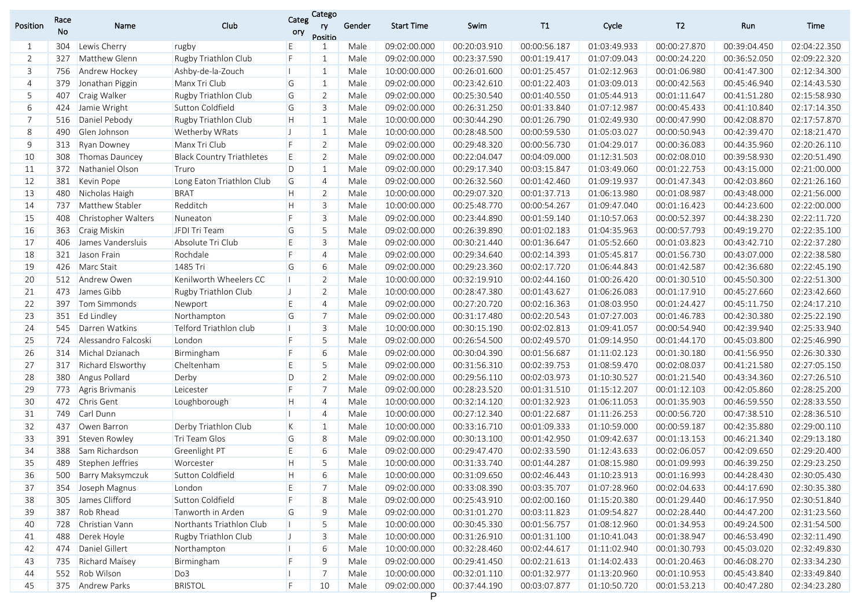| Position | Race<br>No | Name                                  | Club                             | Categ<br>ory | Catego<br>ry<br>Positio | Gender | <b>Start Time</b> | Swim         | T1           | Cycle        | T <sub>2</sub> | Run          | Time         |
|----------|------------|---------------------------------------|----------------------------------|--------------|-------------------------|--------|-------------------|--------------|--------------|--------------|----------------|--------------|--------------|
| 1        | 304        | Lewis Cherry                          | rugby                            | E            |                         | Male   | 09:02:00.000      | 00:20:03.910 | 00:00:56.187 | 01:03:49.933 | 00:00:27.870   | 00:39:04.450 | 02:04:22.350 |
| 2        | 327        | Matthew Glenn                         | Rugby Triathlon Club             | F            | $\mathbf{1}$            | Male   | 09:02:00.000      | 00:23:37.590 | 00:01:19.417 | 01:07:09.043 | 00:00:24.220   | 00:36:52.050 | 02:09:22.320 |
| 3        | 756        | Andrew Hockey                         | Ashby-de-la-Zouch                | П            | $\mathbf{1}$            | Male   | 10:00:00.000      | 00:26:01.600 | 00:01:25.457 | 01:02:12.963 | 00:01:06.980   | 00:41:47.300 | 02:12:34.300 |
| 4        | 379        | Jonathan Piggin                       | Manx Tri Club                    | G            | $\mathbf{1}$            | Male   | 09:02:00.000      | 00:23:42.610 | 00:01:22.403 | 01:03:09.013 | 00:00:42.563   | 00:45:46.940 | 02:14:43.530 |
| 5        | 407        | Craig Walker                          | Rugby Triathlon Club             | G            | $\overline{2}$          | Male   | 09:02:00.000      | 00:25:30.540 | 00:01:40.550 | 01:05:44.913 | 00:01:11.647   | 00:41:51.280 | 02:15:58.930 |
| 6        | 424        | Jamie Wright                          | Sutton Coldfield                 | G            | 3                       | Male   | 09:02:00.000      | 00:26:31.250 | 00:01:33.840 | 01:07:12.987 | 00:00:45.433   | 00:41:10.840 | 02:17:14.350 |
| 7        | 516        | Daniel Pebody                         | Rugby Triathlon Club             | H.           | $\mathbf{1}$            | Male   | 10:00:00.000      | 00:30:44.290 | 00:01:26.790 | 01:02:49.930 | 00:00:47.990   | 00:42:08.870 | 02:17:57.870 |
| 8        | 490        | Glen Johnson                          | <b>Wetherby WRats</b>            | $\mathbf{J}$ | $\mathbf{1}$            | Male   | 10:00:00.000      | 00:28:48.500 | 00:00:59.530 | 01:05:03.027 | 00:00:50.943   | 00:42:39.470 | 02:18:21.470 |
| 9        | 313        | <b>Ryan Downey</b>                    | Manx Tri Club                    | F            | $\overline{2}$          | Male   | 09:02:00.000      | 00:29:48.320 | 00:00:56.730 | 01:04:29.017 | 00:00:36.083   | 00:44:35.960 | 02:20:26.110 |
| 10       | 308        | Thomas Dauncey                        | <b>Black Country Triathletes</b> | E            | $\overline{2}$          | Male   | 09:02:00.000      | 00:22:04.047 | 00:04:09.000 | 01:12:31.503 | 00:02:08.010   | 00:39:58.930 | 02:20:51.490 |
| 11       | 372        | Nathaniel Olson                       | Truro                            | D            | $\mathbf{1}$            | Male   | 09:02:00.000      | 00:29:17.340 | 00:03:15.847 | 01:03:49.060 | 00:01:22.753   | 00:43:15.000 | 02:21:00.000 |
| 12       | 381        | Kevin Pope                            | Long Eaton Triathlon Club        | G            | $\overline{4}$          | Male   | 09:02:00.000      | 00:26:32.560 | 00:01:42.460 | 01:09:19.937 | 00:01:47.343   | 00:42:03.860 | 02:21:26.160 |
| 13       | 480        | Nicholas Haigh                        | <b>BRAT</b>                      | H.           | 2                       | Male   | 10:00:00.000      | 00:29:07.320 | 00:01:37.713 | 01:06:13.980 | 00:01:08.987   | 00:43:48.000 | 02:21:56.000 |
| 14       | 737        | Matthew Stabler                       | Redditch                         | H.           | 3                       | Male   | 10:00:00.000      | 00:25:48.770 | 00:00:54.267 | 01:09:47.040 | 00:01:16.423   | 00:44:23.600 | 02:22:00.000 |
| 15       | 408        | <b>Christopher Walters</b>            | Nuneaton                         | F            | 3                       | Male   | 09:02:00.000      | 00:23:44.890 | 00:01:59.140 | 01:10:57.063 | 00:00:52.397   | 00:44:38.230 | 02:22:11.720 |
| 16       | 363        | Craig Miskin                          | JFDI Tri Team                    | G            | 5                       | Male   | 09:02:00.000      | 00:26:39.890 | 00:01:02.183 | 01:04:35.963 | 00:00:57.793   | 00:49:19.270 | 02:22:35.100 |
| 17       | 406        | James Vandersluis                     | Absolute Tri Club                | E            | 3                       | Male   | 09:02:00.000      | 00:30:21.440 | 00:01:36.647 | 01:05:52.660 | 00:01:03.823   | 00:43:42.710 | 02:22:37.280 |
| 18       |            | 321 Jason Frain                       | Rochdale                         | F            | $\overline{4}$          | Male   | 09:02:00.000      | 00:29:34.640 | 00:02:14.393 | 01:05:45.817 | 00:01:56.730   | 00:43:07.000 | 02:22:38.580 |
| 19       | 426        | Marc Stait                            | 1485 Tri                         | G            | 6                       | Male   | 09:02:00.000      | 00:29:23.360 | 00:02:17.720 | 01:06:44.843 | 00:01:42.587   | 00:42:36.680 | 02:22:45.190 |
| 20       |            | 512 Andrew Owen                       | Kenilworth Wheelers CC           | н            | $\overline{2}$          | Male   | 10:00:00.000      | 00:32:19.910 | 00:02:44.160 | 01:00:26.420 | 00:01:30.510   | 00:45:50.300 | 02:22:51.300 |
| 21       | 473        | James Gibb                            | Rugby Triathlon Club             | $\mathsf{L}$ | $\overline{2}$          | Male   | 10:00:00.000      | 00:28:47.380 | 00:01:43.627 | 01:06:26.083 | 00:01:17.910   | 00:45:27.660 | 02:23:42.660 |
| 22       | 397        | Tom Simmonds                          | Newport                          | E            | $\overline{4}$          | Male   | 09:02:00.000      | 00:27:20.720 | 00:02:16.363 | 01:08:03.950 | 00:01:24.427   | 00:45:11.750 | 02:24:17.210 |
| 23       | 351        | <b>Ed Lindley</b>                     | Northampton                      | G            | $\overline{7}$          | Male   | 09:02:00.000      | 00:31:17.480 | 00:02:20.543 | 01:07:27.003 | 00:01:46.783   | 00:42:30.380 | 02:25:22.190 |
| 24       | 545        | Darren Watkins                        | Telford Triathlon club           |              | $\overline{3}$          | Male   | 10:00:00.000      | 00:30:15.190 | 00:02:02.813 | 01:09:41.057 | 00:00:54.940   | 00:42:39.940 | 02:25:33.940 |
| 25       | 724        | Alessandro Falcoski                   | London                           | F            | 5                       | Male   | 09:02:00.000      | 00:26:54.500 | 00:02:49.570 | 01:09:14.950 | 00:01:44.170   | 00:45:03.800 | 02:25:46.990 |
| 26       | 314        | Michal Dzianach                       | Birmingham                       | F            | 6                       | Male   | 09:02:00.000      | 00:30:04.390 | 00:01:56.687 | 01:11:02.123 | 00:01:30.180   | 00:41:56.950 | 02:26:30.330 |
| 27       | 317        | <b>Richard Elsworthy</b>              | Cheltenham                       | E            | 5                       | Male   | 09:02:00.000      | 00:31:56.310 | 00:02:39.753 | 01:08:59.470 | 00:02:08.037   | 00:41:21.580 | 02:27:05.150 |
| 28       | 380        | Angus Pollard                         | Derby                            | D            | $\overline{2}$          | Male   | 09:02:00.000      | 00:29:56.110 | 00:02:03.973 | 01:10:30.527 | 00:01:21.540   | 00:43:34.360 | 02:27:26.510 |
| 29       | 773        | <b>Agris Brivmanis</b>                | Leicester                        | F            | $7\overline{ }$         | Male   | 09:02:00.000      | 00:28:23.520 | 00:01:31.510 | 01:15:12.207 | 00:01:12.103   | 00:42:05.860 | 02:28:25.200 |
| 30       | 472        | Chris Gent                            | Loughborough                     | H.           | $\overline{4}$          | Male   | 10:00:00.000      | 00:32:14.120 | 00:01:32.923 | 01:06:11.053 | 00:01:35.903   | 00:46:59.550 | 02:28:33.550 |
| 31       | 749        | Carl Dunn                             |                                  |              | $\overline{4}$          | Male   | 10:00:00.000      | 00:27:12.340 | 00:01:22.687 | 01:11:26.253 | 00:00:56.720   | 00:47:38.510 | 02:28:36.510 |
| 32       | 437        | Owen Barron                           | Derby Triathlon Club             | K            | 1                       | Male   | 10:00:00.000      | 00:33:16.710 | 00:01:09.333 | 01:10:59.000 | 00:00:59.187   | 00:42:35.880 | 02:29:00.110 |
| 33       | 391        | Steven Rowley                         | Tri Team Glos                    | G            | 8                       | Male   | 09:02:00.000      | 00:30:13.100 | 00:01:42.950 | 01:09:42.637 | 00:01:13.153   | 00:46:21.340 | 02:29:13.180 |
| 34       | 388        | Sam Richardson                        | Greenlight PT                    | E            | 6                       | Male   | 09:02:00.000      | 00:29:47.470 | 00:02:33.590 | 01:12:43.633 | 00:02:06.057   | 00:42:09.650 | 02:29:20.400 |
| 35       |            | 489 Stephen Jeffries                  | Worcester                        | H            | 5                       | Male   | 10:00:00.000      | 00:31:33.740 | 00:01:44.287 | 01:08:15.980 | 00:01:09.993   | 00:46:39.250 | 02:29:23.250 |
| 36       |            | 500 Barry Maksymczuk Sutton Coldfield |                                  | H            | $6\overline{6}$         | Male   | 10:00:00.000      | 00:31:09.650 | 00:02:46.443 | 01:10:23.913 | 00:01:16.993   | 00:44:28.430 | 02:30:05.430 |
| 37       | 354        | Joseph Magnus                         | London                           | Е            | 7                       | Male   | 09:02:00.000      | 00:33:08.390 | 00:03:35.707 | 01:07:28.960 | 00:02:04.633   | 00:44:17.690 | 02:30:35.380 |
| 38       | 305        | James Clifford                        | Sutton Coldfield                 |              | 8                       | Male   | 09:02:00.000      | 00:25:43.910 | 00:02:00.160 | 01:15:20.380 | 00:01:29.440   | 00:46:17.950 | 02:30:51.840 |
| 39       | 387        | Rob Rhead                             | Tanworth in Arden                | G            | 9                       | Male   | 09:02:00.000      | 00:31:01.270 | 00:03:11.823 | 01:09:54.827 | 00:02:28.440   | 00:44:47.200 | 02:31:23.560 |
| 40       | 728        | Christian Vann                        | Northants Triathlon Club         |              | 5                       | Male   | 10:00:00.000      | 00:30:45.330 | 00:01:56.757 | 01:08:12.960 | 00:01:34.953   | 00:49:24.500 | 02:31:54.500 |
| 41       | 488        | Derek Hoyle                           | Rugby Triathlon Club             | $\mathsf{U}$ | 3                       | Male   | 10:00:00.000      | 00:31:26.910 | 00:01:31.100 | 01:10:41.043 | 00:01:38.947   | 00:46:53.490 | 02:32:11.490 |
| 42       | 474        | Daniel Gillert                        | Northampton                      |              | 6                       | Male   | 10:00:00.000      | 00:32:28.460 | 00:02:44.617 | 01:11:02.940 | 00:01:30.793   | 00:45:03.020 | 02:32:49.830 |
| 43       | 735        | Richard Maisey                        | Birmingham                       | F            | 9                       | Male   | 09:02:00.000      | 00:29:41.450 | 00:02:21.613 | 01:14:02.433 | 00:01:20.463   | 00:46:08.270 | 02:33:34.230 |
| 44       | 552        | Rob Wilson                            | Do3                              | П            | 7                       | Male   | 10:00:00.000      | 00:32:01.110 | 00:01:32.977 | 01:13:20.960 | 00:01:10.953   | 00:45:43.840 | 02:33:49.840 |
| 45       |            | 375 Andrew Parks                      | <b>BRISTOL</b>                   | E            | 10                      | Male   | 09:02:00.000      | 00:37:44.190 | 00:03:07.877 | 01:10:50.720 | 00:01:53.213   | 00:40:47.280 | 02:34:23.280 |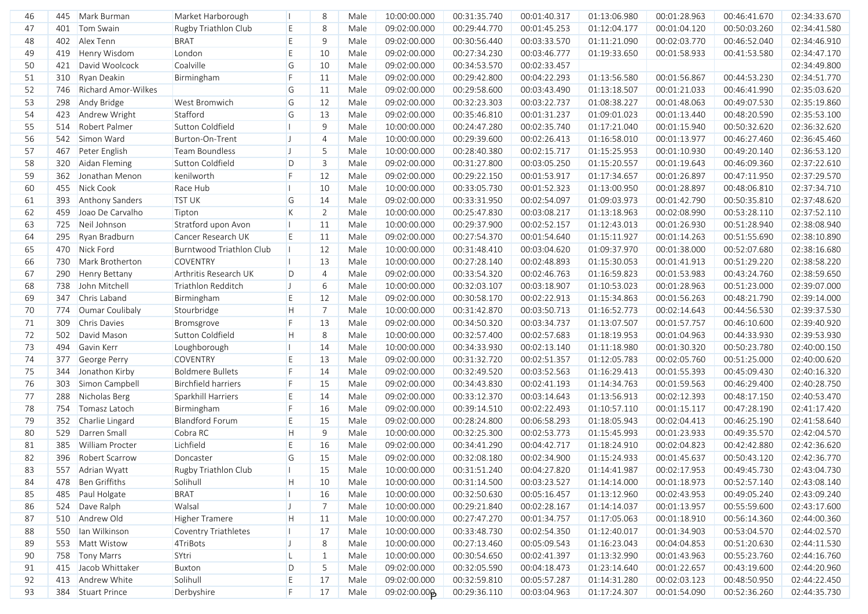| 46 | 445 | Mark Burman                | Market Harborough          |              | 8              | Male | 10:00:00.000 | 00:31:35.740 | 00:01:40.317 | 01:13:06.980 | 00:01:28.963 | 00:46:41.670 | 02:34:33.670 |
|----|-----|----------------------------|----------------------------|--------------|----------------|------|--------------|--------------|--------------|--------------|--------------|--------------|--------------|
| 47 | 401 | Tom Swain                  | Rugby Triathlon Club       | E            | 8              | Male | 09:02:00.000 | 00:29:44.770 | 00:01:45.253 | 01:12:04.177 | 00:01:04.120 | 00:50:03.260 | 02:34:41.580 |
| 48 | 402 | Alex Tenn                  | <b>BRAT</b>                | E            | 9              | Male | 09:02:00.000 | 00:30:56.440 | 00:03:33.570 | 01:11:21.090 | 00:02:03.770 | 00:46:52.040 | 02:34:46.910 |
| 49 | 419 | Henry Wisdom               | London                     | E            | 10             | Male | 09:02:00.000 | 00:27:34.230 | 00:03:46.777 | 01:19:33.650 | 00:01:58.933 | 00:41:53.580 | 02:34:47.170 |
| 50 | 421 | David Woolcock             | Coalville                  | G            | 10             | Male | 09:02:00.000 | 00:34:53.570 | 00:02:33.457 |              |              |              | 02:34:49.800 |
| 51 | 310 | Ryan Deakin                | Birmingham                 | F            | 11             | Male | 09:02:00.000 | 00:29:42.800 | 00:04:22.293 | 01:13:56.580 | 00:01:56.867 | 00:44:53.230 | 02:34:51.770 |
| 52 | 746 | <b>Richard Amor-Wilkes</b> |                            | G            | 11             | Male | 09:02:00.000 | 00:29:58.600 | 00:03:43.490 | 01:13:18.507 | 00:01:21.033 | 00:46:41.990 | 02:35:03.620 |
| 53 | 298 | Andy Bridge                | West Bromwich              | G            | 12             | Male | 09:02:00.000 | 00:32:23.303 | 00:03:22.737 | 01:08:38.227 | 00:01:48.063 | 00:49:07.530 | 02:35:19.860 |
| 54 | 423 | Andrew Wright              | Stafford                   | G            | 13             | Male | 09:02:00.000 | 00:35:46.810 | 00:01:31.237 | 01:09:01.023 | 00:01:13.440 | 00:48:20.590 | 02:35:53.100 |
| 55 | 514 | <b>Robert Palmer</b>       | Sutton Coldfield           | п            | 9              | Male | 10:00:00.000 | 00:24:47.280 | 00:02:35.740 | 01:17:21.040 | 00:01:15.940 | 00:50:32.620 | 02:36:32.620 |
| 56 | 542 | Simon Ward                 | Burton-On-Trent            | IJ           | $\overline{4}$ | Male | 10:00:00.000 | 00:29:39.600 | 00:02:26.413 | 01:16:58.010 | 00:01:13.977 | 00:46:27.460 | 02:36:45.460 |
| 57 | 467 | Peter English              | <b>Team Boundless</b>      | IJ           | 5              | Male | 10:00:00.000 | 00:28:40.380 | 00:02:15.717 | 01:15:25.953 | 00:01:10.930 | 00:49:20.140 | 02:36:53.120 |
| 58 | 320 | Aidan Fleming              | Sutton Coldfield           | D            | 3              | Male | 09:02:00.000 | 00:31:27.800 | 00:03:05.250 | 01:15:20.557 | 00:01:19.643 | 00:46:09.360 | 02:37:22.610 |
| 59 | 362 | Jonathan Menon             | kenilworth                 | F            | 12             | Male | 09:02:00.000 | 00:29:22.150 | 00:01:53.917 | 01:17:34.657 | 00:01:26.897 | 00:47:11.950 | 02:37:29.570 |
| 60 | 455 | Nick Cook                  | Race Hub                   | н            | 10             | Male | 10:00:00.000 | 00:33:05.730 | 00:01:52.323 | 01:13:00.950 | 00:01:28.897 | 00:48:06.810 | 02:37:34.710 |
| 61 | 393 | Anthony Sanders            | <b>TST UK</b>              | G            | 14             | Male | 09:02:00.000 | 00:33:31.950 | 00:02:54.097 | 01:09:03.973 | 00:01:42.790 | 00:50:35.810 | 02:37:48.620 |
| 62 | 459 | Joao De Carvalho           | Tipton                     | K            | 2              | Male | 10:00:00.000 | 00:25:47.830 | 00:03:08.217 | 01:13:18.963 | 00:02:08.990 | 00:53:28.110 | 02:37:52.110 |
| 63 | 725 | Neil Johnson               | Stratford upon Avon        |              | 11             | Male | 10:00:00.000 | 00:29:37.900 | 00:02:52.157 | 01:12:43.013 | 00:01:26.930 | 00:51:28.940 | 02:38:08.940 |
| 64 | 295 | Ryan Bradburn              | Cancer Research UK         | E            | 11             | Male | 09:02:00.000 | 00:27:54.370 | 00:01:54.640 | 01:15:11.927 | 00:01:14.263 | 00:51:55.690 | 02:38:10.890 |
| 65 | 470 | Nick Ford                  | Burntwood Triathlon Club   | п            | 12             | Male | 10:00:00.000 | 00:31:48.410 | 00:03:04.620 | 01:09:37.970 | 00:01:38.000 | 00:52:07.680 | 02:38:16.680 |
| 66 | 730 | Mark Brotherton            | <b>COVENTRY</b>            | П            | 13             | Male | 10:00:00.000 | 00:27:28.140 | 00:02:48.893 | 01:15:30.053 | 00:01:41.913 | 00:51:29.220 | 02:38:58.220 |
| 67 | 290 | Henry Bettany              | Arthritis Research UK      | D            | $\overline{4}$ | Male | 09:02:00.000 | 00:33:54.320 | 00:02:46.763 | 01:16:59.823 | 00:01:53.983 | 00:43:24.760 | 02:38:59.650 |
| 68 | 738 | John Mitchell              | Triathlon Redditch         | H            | 6              | Male | 10:00:00.000 | 00:32:03.107 | 00:03:18.907 | 01:10:53.023 | 00:01:28.963 | 00:51:23.000 | 02:39:07.000 |
| 69 | 347 | Chris Laband               | Birmingham                 | E            | 12             | Male | 09:02:00.000 | 00:30:58.170 | 00:02:22.913 | 01:15:34.863 | 00:01:56.263 | 00:48:21.790 | 02:39:14.000 |
| 70 | 774 | Oumar Coulibaly            | Stourbridge                | H            | $\overline{7}$ | Male | 10:00:00.000 | 00:31:42.870 | 00:03:50.713 | 01:16:52.773 | 00:02:14.643 | 00:44:56.530 | 02:39:37.530 |
| 71 | 309 | <b>Chris Davies</b>        | Bromsgrove                 | F            | 13             | Male | 09:02:00.000 | 00:34:50.320 | 00:03:34.737 | 01:13:07.507 | 00:01:57.757 | 00:46:10.600 | 02:39:40.920 |
| 72 | 502 | David Mason                | Sutton Coldfield           | H            | 8              | Male | 10:00:00.000 | 00:32:57.400 | 00:02:57.683 | 01:18:19.953 | 00:01:04.963 | 00:44:33.930 | 02:39:53.930 |
| 73 | 494 | Gavin Kerr                 | Loughborough               | п            | 14             | Male | 10:00:00.000 | 00:34:33.930 | 00:02:13.140 | 01:11:18.980 | 00:01:30.320 | 00:50:23.780 | 02:40:00.150 |
| 74 | 377 | George Perry               | <b>COVENTRY</b>            | E            | 13             | Male | 09:02:00.000 | 00:31:32.720 | 00:02:51.357 | 01:12:05.783 | 00:02:05.760 | 00:51:25.000 | 02:40:00.620 |
| 75 | 344 | Jonathon Kirby             | <b>Boldmere Bullets</b>    | F            | 14             | Male | 09:02:00.000 | 00:32:49.520 | 00:03:52.563 | 01:16:29.413 | 00:01:55.393 | 00:45:09.430 | 02:40:16.320 |
| 76 | 303 | Simon Campbell             | <b>Birchfield harriers</b> | E            | 15             | Male | 09:02:00.000 | 00:34:43.830 | 00:02:41.193 | 01:14:34.763 | 00:01:59.563 | 00:46:29.400 | 02:40:28.750 |
| 77 | 288 | Nicholas Berg              | Sparkhill Harriers         | E            | 14             | Male | 09:02:00.000 | 00:33:12.370 | 00:03:14.643 | 01:13:56.913 | 00:02:12.393 | 00:48:17.150 | 02:40:53.470 |
| 78 | 754 | Tomasz Latoch              | Birmingham                 | F            | 16             | Male | 09:02:00.000 | 00:39:14.510 | 00:02:22.493 | 01:10:57.110 | 00:01:15.117 | 00:47:28.190 | 02:41:17.420 |
| 79 | 352 | Charlie Lingard            | <b>Blandford Forum</b>     | E            | 15             | Male | 09:02:00.000 | 00:28:24.800 | 00:06:58.293 | 01:18:05.943 | 00:02:04.413 | 00:46:25.190 | 02:41:58.640 |
| 80 | 529 | Darren Small               | Cobra RC                   | H            | 9              | Male | 10:00:00.000 | 00:32:25.300 | 00:02:53.773 | 01:15:45.993 | 00:01:23.933 | 00:49:35.570 | 02:42:04.570 |
| 81 | 385 | William Procter            | Lichfield                  | E            | 16             | Male | 09:02:00.000 | 00:34:41.290 | 00:04:42.717 | 01:18:24.910 | 00:02:04.823 | 00:42:42.880 | 02:42:36.620 |
| 82 | 396 | <b>Robert Scarrow</b>      | Doncaster                  | G            | 15             | Male | 09:02:00.000 | 00:32:08.180 | 00:02:34.900 | 01:15:24.933 | 00:01:45.637 | 00:50:43.120 | 02:42:36.770 |
| 83 |     | 557 Adrian Wyatt           | Rugby Triathlon Club       |              | 15             | Male | 10:00:00.000 | 00:31:51.240 | 00:04:27.820 | 01:14:41.987 | 00:02:17.953 | 00:49:45.730 | 02:43:04.730 |
| 84 |     | 478 Ben Griffiths          | Solihull                   | H            | 10             | Male | 10:00:00.000 | 00:31:14.500 | 00:03:23.527 | 01:14:14.000 | 00:01:18.973 | 00:52:57.140 | 02:43:08.140 |
| 85 |     | 485 Paul Holgate           | <b>BRAT</b>                | Ш            | 16             | Male | 10:00:00.000 | 00:32:50.630 | 00:05:16.457 | 01:13:12.960 | 00:02:43.953 | 00:49:05.240 | 02:43:09.240 |
| 86 |     | 524 Dave Ralph             | Walsal                     | $\mathsf{J}$ | 7              | Male | 10:00:00.000 | 00:29:21.840 | 00:02:28.167 | 01:14:14.037 | 00:01:13.957 | 00:55:59.600 | 02:43:17.600 |
| 87 |     | 510 Andrew Old             | <b>Higher Tramere</b>      | H            | 11             | Male | 10:00:00.000 | 00:27:47.270 | 00:01:34.757 | 01:17:05.063 | 00:01:18.910 | 00:56:14.360 | 02:44:00.360 |
| 88 |     | 550   Ian Wilkinson        | Coventry Triathletes       | Ш            | 17             | Male | 10:00:00.000 | 00:33:48.730 | 00:02:54.350 | 01:12:40.017 | 00:01:34.903 | 00:53:04.570 | 02:44:02.570 |
| 89 |     | 553 Matt Wistow            | 4TriBots                   | $\mathsf{J}$ | 8              | Male | 10:00:00.000 | 00:27:13.460 | 00:05:09.543 | 01:16:23.043 | 00:04:04.853 | 00:51:20.630 | 02:44:11.530 |
| 90 |     | 758 Tony Marrs             | SYtri                      | L            | 1              | Male | 10:00:00.000 | 00:30:54.650 | 00:02:41.397 | 01:13:32.990 | 00:01:43.963 | 00:55:23.760 | 02:44:16.760 |
| 91 |     | 415 Jacob Whittaker        | Buxton                     | D            | 5              | Male | 09:02:00.000 | 00:32:05.590 | 00:04:18.473 | 01:23:14.640 | 00:01:22.657 | 00:43:19.600 | 02:44:20.960 |
| 92 |     | 413 Andrew White           | Solihull                   | E            | 17             | Male | 09:02:00.000 | 00:32:59.810 | 00:05:57.287 | 01:14:31.280 | 00:02:03.123 | 00:48:50.950 | 02:44:22.450 |
| 93 |     | 384 Stuart Prince          | Derbyshire                 | F.           | 17             | Male | 09:02:00.00p | 00:29:36.110 | 00:03:04.963 | 01:17:24.307 | 00:01:54.090 | 00:52:36.260 | 02:44:35.730 |
|    |     |                            |                            |              |                |      |              |              |              |              |              |              |              |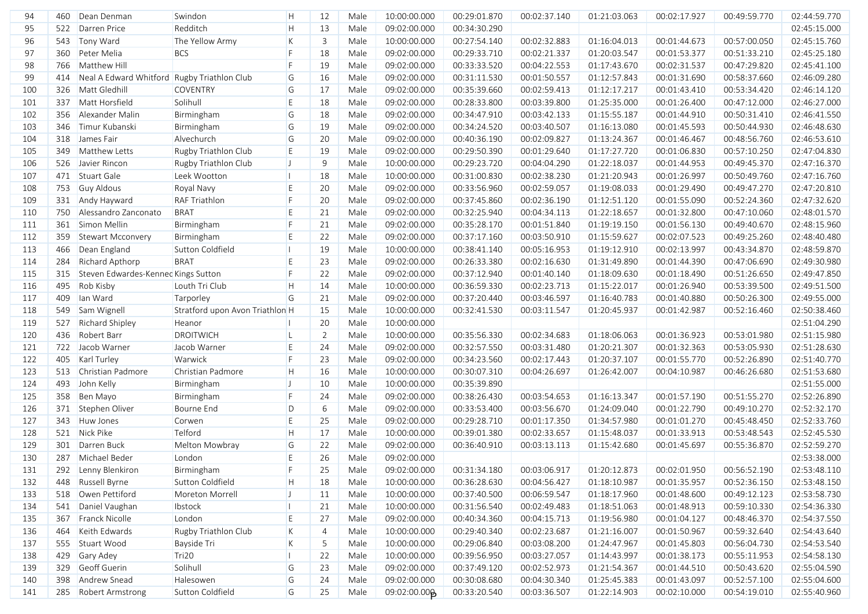| 94  | 460 | Dean Denman                                 | Swindon                         | H            | 12             | Male | 10:00:00.000 | 00:29:01.870 | 00:02:37.140 | 01:21:03.063 | 00:02:17.927 | 00:49:59.770 | 02:44:59.770 |
|-----|-----|---------------------------------------------|---------------------------------|--------------|----------------|------|--------------|--------------|--------------|--------------|--------------|--------------|--------------|
| 95  | 522 | Darren Price                                | Redditch                        | H            | 13             | Male | 09:02:00.000 | 00:34:30.290 |              |              |              |              | 02:45:15.000 |
| 96  | 543 | Tony Ward                                   | The Yellow Army                 | K            | $\mathbf{3}$   | Male | 10:00:00.000 | 00:27:54.140 | 00:02:32.883 | 01:16:04.013 | 00:01:44.673 | 00:57:00.050 | 02:45:15.760 |
| 97  | 360 | Peter Melia                                 | <b>BCS</b>                      | F            | 18             | Male | 09:02:00.000 | 00:29:33.710 | 00:02:21.337 | 01:20:03.547 | 00:01:53.377 | 00:51:33.210 | 02:45:25.180 |
| 98  | 766 | Matthew Hill                                |                                 | F            | 19             | Male | 09:02:00.000 | 00:33:33.520 | 00:04:22.553 | 01:17:43.670 | 00:02:31.537 | 00:47:29.820 | 02:45:41.100 |
| 99  | 414 | Neal A Edward Whitford Rugby Triathlon Club |                                 | G            | 16             | Male | 09:02:00.000 | 00:31:11.530 | 00:01:50.557 | 01:12:57.843 | 00:01:31.690 | 00:58:37.660 | 02:46:09.280 |
| 100 | 326 | Matt Gledhill                               | <b>COVENTRY</b>                 | G            | 17             | Male | 09:02:00.000 | 00:35:39.660 | 00:02:59.413 | 01:12:17.217 | 00:01:43.410 | 00:53:34.420 | 02:46:14.120 |
| 101 | 337 | Matt Horsfield                              | Solihull                        | E            | 18             | Male | 09:02:00.000 | 00:28:33.800 | 00:03:39.800 | 01:25:35.000 | 00:01:26.400 | 00:47:12.000 | 02:46:27.000 |
| 102 | 356 | Alexander Malin                             | Birmingham                      | G            | 18             | Male | 09:02:00.000 | 00:34:47.910 | 00:03:42.133 | 01:15:55.187 | 00:01:44.910 | 00:50:31.410 | 02:46:41.550 |
| 103 | 346 | Timur Kubanski                              | Birmingham                      | G            | 19             | Male | 09:02:00.000 | 00:34:24.520 | 00:03:40.507 | 01:16:13.080 | 00:01:45.593 | 00:50:44.930 | 02:46:48.630 |
| 104 | 318 | James Fair                                  | Alvechurch                      | G            | 20             | Male | 09:02:00.000 | 00:40:36.190 | 00:02:09.827 | 01:13:24.367 | 00:01:46.467 | 00:48:56.760 | 02:46:53.610 |
| 105 | 349 | Matthew Letts                               | Rugby Triathlon Club            | E            | 19             | Male | 09:02:00.000 | 00:29:50.390 | 00:01:29.640 | 01:17:27.720 | 00:01:06.830 | 00:57:10.250 | 02:47:04.830 |
| 106 | 526 | Javier Rincon                               | Rugby Triathlon Club            | $\mathsf{U}$ | 9              | Male | 10:00:00.000 | 00:29:23.720 | 00:04:04.290 | 01:22:18.037 | 00:01:44.953 | 00:49:45.370 | 02:47:16.370 |
| 107 | 471 | Stuart Gale                                 | Leek Wootton                    |              | 18             | Male | 10:00:00.000 | 00:31:00.830 | 00:02:38.230 | 01:21:20.943 | 00:01:26.997 | 00:50:49.760 | 02:47:16.760 |
| 108 | 753 | <b>Guy Aldous</b>                           | Royal Navy                      | E            | 20             | Male | 09:02:00.000 | 00:33:56.960 | 00:02:59.057 | 01:19:08.033 | 00:01:29.490 | 00:49:47.270 | 02:47:20.810 |
| 109 | 331 | Andy Hayward                                | <b>RAF Triathlon</b>            | F            | 20             | Male | 09:02:00.000 | 00:37:45.860 | 00:02:36.190 | 01:12:51.120 | 00:01:55.090 | 00:52:24.360 | 02:47:32.620 |
| 110 | 750 | Alessandro Zanconato                        | <b>BRAT</b>                     | E            | 21             | Male | 09:02:00.000 | 00:32:25.940 | 00:04:34.113 | 01:22:18.657 | 00:01:32.800 | 00:47:10.060 | 02:48:01.570 |
| 111 | 361 | Simon Mellin                                | Birmingham                      | F            | 21             | Male | 09:02:00.000 | 00:35:28.170 | 00:01:51.840 | 01:19:19.150 | 00:01:56.130 | 00:49:40.670 | 02:48:15.960 |
| 112 | 359 | Stewart Mcconvery                           | Birmingham                      | E            | 22             | Male | 09:02:00.000 | 00:37:17.160 | 00:03:50.910 | 01:15:59.627 | 00:02:07.523 | 00:49:25.260 | 02:48:40.480 |
| 113 | 466 | Dean England                                | Sutton Coldfield                |              | 19             | Male | 10:00:00.000 | 00:38:41.140 | 00:05:16.953 | 01:19:12.910 | 00:02:13.997 | 00:43:34.870 | 02:48:59.870 |
| 114 | 284 | Richard Apthorp                             | <b>BRAT</b>                     | E            | 23             | Male | 09:02:00.000 | 00:26:33.380 | 00:02:16.630 | 01:31:49.890 | 00:01:44.390 | 00:47:06.690 | 02:49:30.980 |
| 115 | 315 | Steven Edwardes-Kennec Kings Sutton         |                                 | F            | 22             | Male | 09:02:00.000 | 00:37:12.940 | 00:01:40.140 | 01:18:09.630 | 00:01:18.490 | 00:51:26.650 | 02:49:47.850 |
| 116 | 495 | Rob Kisby                                   | Louth Tri Club                  | H            | 14             | Male | 10:00:00.000 | 00:36:59.330 | 00:02:23.713 | 01:15:22.017 | 00:01:26.940 | 00:53:39.500 | 02:49:51.500 |
| 117 | 409 | lan Ward                                    | Tarporley                       | G            | 21             | Male | 09:02:00.000 | 00:37:20.440 | 00:03:46.597 | 01:16:40.783 | 00:01:40.880 | 00:50:26.300 | 02:49:55.000 |
| 118 | 549 | Sam Wignell                                 | Stratford upon Avon Triathlon H |              | 15             | Male | 10:00:00.000 | 00:32:41.530 | 00:03:11.547 | 01:20:45.937 | 00:01:42.987 | 00:52:16.460 | 02:50:38.460 |
| 119 | 527 | <b>Richard Shipley</b>                      | Heanor                          |              | 20             | Male | 10:00:00.000 |              |              |              |              |              | 02:51:04.290 |
| 120 | 436 | Robert Barr                                 | <b>DROITWICH</b>                |              | $\overline{2}$ | Male | 10:00:00.000 | 00:35:56.330 | 00:02:34.683 | 01:18:06.063 | 00:01:36.923 | 00:53:01.980 | 02:51:15.980 |
| 121 | 722 | Jacob Warner                                | Jacob Warner                    | E            | 24             | Male | 09:02:00.000 | 00:32:57.550 | 00:03:31.480 | 01:20:21.307 | 00:01:32.363 | 00:53:05.930 | 02:51:28.630 |
| 122 | 405 | Karl Turley                                 | Warwick                         | F            | 23             | Male | 09:02:00.000 | 00:34:23.560 | 00:02:17.443 | 01:20:37.107 | 00:01:55.770 | 00:52:26.890 | 02:51:40.770 |
| 123 | 513 | Christian Padmore                           | Christian Padmore               | H            | 16             | Male | 10:00:00.000 | 00:30:07.310 | 00:04:26.697 | 01:26:42.007 | 00:04:10.987 | 00:46:26.680 | 02:51:53.680 |
| 124 | 493 | John Kelly                                  | Birmingham                      | П            | 10             | Male | 10:00:00.000 | 00:35:39.890 |              |              |              |              | 02:51:55.000 |
| 125 | 358 | Ben Mayo                                    | Birmingham                      | F            | 24             | Male | 09:02:00.000 | 00:38:26.430 | 00:03:54.653 | 01:16:13.347 | 00:01:57.190 | 00:51:55.270 | 02:52:26.890 |
| 126 | 371 | Stephen Oliver                              | Bourne End                      | D            | 6              | Male | 09:02:00.000 | 00:33:53.400 | 00:03:56.670 | 01:24:09.040 | 00:01:22.790 | 00:49:10.270 | 02:52:32.170 |
| 127 | 343 | Huw Jones                                   | Corwen                          | E            | 25             | Male | 09:02:00.000 | 00:29:28.710 | 00:01:17.350 | 01:34:57.980 | 00:01:01.270 | 00:45:48.450 | 02:52:33.760 |
| 128 | 521 | Nick Pike                                   | Telford                         | H            | 17             | Male | 10:00:00.000 | 00:39:01.380 | 00:02:33.657 | 01:15:48.037 | 00:01:33.913 | 00:53:48.543 | 02:52:45.530 |
| 129 | 301 | Darren Buck                                 | Melton Mowbray                  | G            | 22             | Male | 09:02:00.000 | 00:36:40.910 | 00:03:13.113 | 01:15:42.680 | 00:01:45.697 | 00:55:36.870 | 02:52:59.270 |
| 130 | 287 | Michael Beder                               | London                          | E            | 26             | Male | 09:02:00.000 |              |              |              |              |              | 02:53:38.000 |
| 131 |     | 292 Lenny Blenkiron                         | Birmingham                      | F.           | 25             | Male | 09:02:00.000 | 00:31:34.180 | 00:03:06.917 | 01:20:12.873 | 00:02:01.950 | 00:56:52.190 | 02:53:48.110 |
| 132 |     | 448 Russell Byrne                           | Sutton Coldfield                | H            | 18             | Male | 10:00:00.000 | 00:36:28.630 | 00:04:56.427 | 01:18:10.987 | 00:01:35.957 | 00:52:36.150 | 02:53:48.150 |
| 133 |     | 518 Owen Pettiford                          | Moreton Morrell                 | IJ           | 11             | Male | 10:00:00.000 | 00:37:40.500 | 00:06:59.547 | 01:18:17.960 | 00:01:48.600 | 00:49:12.123 | 02:53:58.730 |
| 134 |     | 541 Daniel Vaughan                          | Ibstock                         |              | 21             | Male | 10:00:00.000 | 00:31:56.540 | 00:02:49.483 | 01:18:51.063 | 00:01:48.913 | 00:59:10.330 | 02:54:36.330 |
| 135 |     | 367 Franck Nicolle                          | London                          | Ε            | 27             | Male | 09:02:00.000 | 00:40:34.360 | 00:04:15.713 | 01:19:56.980 | 00:01:04.127 | 00:48:46.370 | 02:54:37.550 |
| 136 | 464 | Keith Edwards                               | Rugby Triathlon Club            | K            | $\overline{4}$ | Male | 10:00:00.000 | 00:29:40.340 | 00:02:23.687 | 01:21:16.007 | 00:01:50.967 | 00:59:32.640 | 02:54:43.640 |
| 137 |     | 555 Stuart Wood                             | Bayside Tri                     | K            | 5              | Male | 10:00:00.000 | 00:29:06.840 | 00:03:08.200 | 01:24:47.967 | 00:01:45.803 | 00:56:04.730 | 02:54:53.540 |
| 138 |     | 429 Gary Adey                               | Tri20                           |              | 22             | Male | 10:00:00.000 | 00:39:56.950 | 00:03:27.057 | 01:14:43.997 | 00:01:38.173 | 00:55:11.953 | 02:54:58.130 |
| 139 |     | 329 Geoff Guerin                            | Solihull                        | G            | 23             | Male | 09:02:00.000 | 00:37:49.120 | 00:02:52.973 | 01:21:54.367 | 00:01:44.510 | 00:50:43.620 | 02:55:04.590 |
| 140 | 398 | Andrew Snead                                | Halesowen                       | G            | 24             | Male | 09:02:00.000 | 00:30:08.680 | 00:04:30.340 | 01:25:45.383 | 00:01:43.097 | 00:52:57.100 | 02:55:04.600 |
| 141 |     | 285 Robert Armstrong                        | Sutton Coldfield                | G            | 25             | Male | 09:02:00.00p | 00:33:20.540 | 00:03:36.507 | 01:22:14.903 | 00:02:10.000 | 00:54:19.010 | 02:55:40.960 |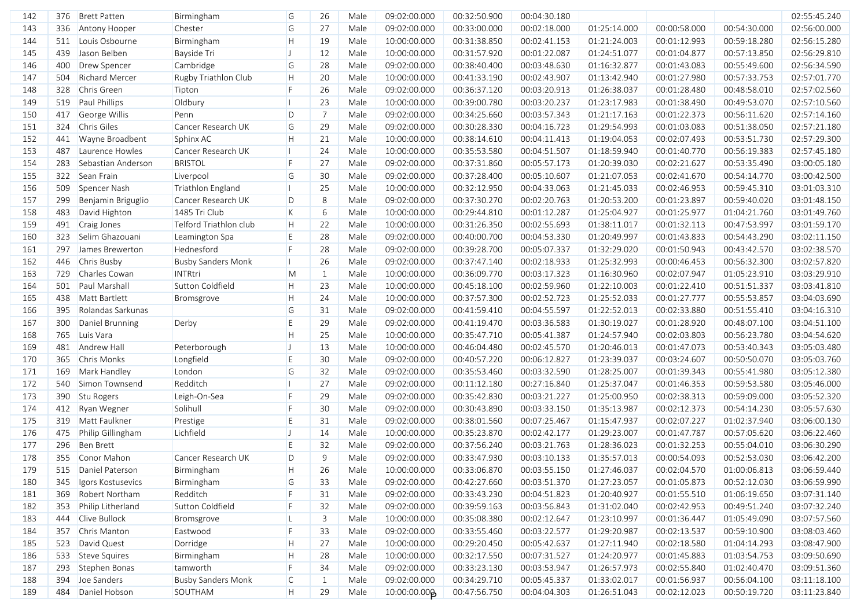| 142 | 376 | <b>Brett Patten</b> | Birmingham                | G            | 26             | Male | 09:02:00.000             | 00:32:50.900 | 00:04:30.180 |              |              |              | 02:55:45.240 |
|-----|-----|---------------------|---------------------------|--------------|----------------|------|--------------------------|--------------|--------------|--------------|--------------|--------------|--------------|
| 143 | 336 | Antony Hooper       | Chester                   | G            | 27             | Male | 09:02:00.000             | 00:33:00.000 | 00:02:18.000 | 01:25:14.000 | 00:00:58.000 | 00:54:30.000 | 02:56:00.000 |
| 144 | 511 | Louis Osbourne      | Birmingham                | H            | 19             | Male | 10:00:00.000             | 00:31:38.850 | 00:02:41.153 | 01:21:24.003 | 00:01:12.993 | 00:59:18.280 | 02:56:15.280 |
| 145 | 439 | Jason Belben        | Bayside Tri               | П            | 12             | Male | 10:00:00.000             | 00:31:57.920 | 00:01:22.087 | 01:24:51.077 | 00:01:04.877 | 00:57:13.850 | 02:56:29.810 |
| 146 | 400 | Drew Spencer        | Cambridge                 | G            | 28             | Male | 09:02:00.000             | 00:38:40.400 | 00:03:48.630 | 01:16:32.877 | 00:01:43.083 | 00:55:49.600 | 02:56:34.590 |
| 147 | 504 | Richard Mercer      | Rugby Triathlon Club      | H            | 20             | Male | 10:00:00.000             | 00:41:33.190 | 00:02:43.907 | 01:13:42.940 | 00:01:27.980 | 00:57:33.753 | 02:57:01.770 |
| 148 | 328 | Chris Green         | Tipton                    | F.           | 26             | Male | 09:02:00.000             | 00:36:37.120 | 00:03:20.913 | 01:26:38.037 | 00:01:28.480 | 00:48:58.010 | 02:57:02.560 |
| 149 | 519 | Paul Phillips       | Oldbury                   |              | 23             | Male | 10:00:00.000             | 00:39:00.780 | 00:03:20.237 | 01:23:17.983 | 00:01:38.490 | 00:49:53.070 | 02:57:10.560 |
| 150 | 417 | George Willis       | Penn                      | D            | $\overline{7}$ | Male | 09:02:00.000             | 00:34:25.660 | 00:03:57.343 | 01:21:17.163 | 00:01:22.373 | 00:56:11.620 | 02:57:14.160 |
| 151 | 324 | Chris Giles         | Cancer Research UK        | G            | 29             | Male | 09:02:00.000             | 00:30:28.330 | 00:04:16.723 | 01:29:54.993 | 00:01:03.083 | 00:51:38.050 | 02:57:21.180 |
| 152 | 441 | Wayne Broadbent     | Sphinx AC                 | H            | 21             | Male | 10:00:00.000             | 00:38:14.610 | 00:04:11.413 | 01:19:04.053 | 00:02:07.493 | 00:53:51.730 | 02:57:29.300 |
| 153 | 487 | Laurence Howles     | Cancer Research UK        | Ш            | 24             | Male | 10:00:00.000             | 00:35:53.580 | 00:04:51.507 | 01:18:59.940 | 00:01:40.770 | 00:56:19.383 | 02:57:45.180 |
| 154 | 283 | Sebastian Anderson  | <b>BRISTOL</b>            | F            | 27             | Male | 09:02:00.000             | 00:37:31.860 | 00:05:57.173 | 01:20:39.030 | 00:02:21.627 | 00:53:35.490 | 03:00:05.180 |
| 155 | 322 | Sean Frain          | Liverpool                 | G            | 30             | Male | 09:02:00.000             | 00:37:28.400 | 00:05:10.607 | 01:21:07.053 | 00:02:41.670 | 00:54:14.770 | 03:00:42.500 |
| 156 | 509 | Spencer Nash        | Triathlon England         |              | 25             | Male | 10:00:00.000             | 00:32:12.950 | 00:04:33.063 | 01:21:45.033 | 00:02:46.953 | 00:59:45.310 | 03:01:03.310 |
| 157 | 299 | Benjamin Briguglio  | Cancer Research UK        | D            | 8              | Male | 09:02:00.000             | 00:37:30.270 | 00:02:20.763 | 01:20:53.200 | 00:01:23.897 | 00:59:40.020 | 03:01:48.150 |
| 158 | 483 | David Highton       | 1485 Tri Club             | K            | 6              | Male | 10:00:00.000             | 00:29:44.810 | 00:01:12.287 | 01:25:04.927 | 00:01:25.977 | 01:04:21.760 | 03:01:49.760 |
| 159 | 491 | Craig Jones         | Telford Triathlon club    | H            | 22             | Male | 10:00:00.000             | 00:31:26.350 | 00:02:55.693 | 01:38:11.017 | 00:01:32.113 | 00:47:53.997 | 03:01:59.170 |
| 160 | 323 | Selim Ghazouani     | Leamington Spa            | E.           | 28             | Male | 09:02:00.000             | 00:40:00.700 | 00:04:53.330 | 01:20:49.997 | 00:01:43.833 | 00:54:43.290 | 03:02:11.150 |
| 161 | 297 | James Brewerton     | Hednesford                | F            | 28             | Male | 09:02:00.000             | 00:39:28.700 | 00:05:07.337 | 01:32:29.020 | 00:01:50.943 | 00:43:42.570 | 03:02:38.570 |
| 162 | 446 | Chris Busby         | <b>Busby Sanders Monk</b> |              | 26             | Male | 09:02:00.000             | 00:37:47.140 | 00:02:18.933 | 01:25:32.993 | 00:00:46.453 | 00:56:32.300 | 03:02:57.820 |
| 163 | 729 | Charles Cowan       | <b>INTRtri</b>            | M            | 1              | Male | 10:00:00.000             | 00:36:09.770 | 00:03:17.323 | 01:16:30.960 | 00:02:07.947 | 01:05:23.910 | 03:03:29.910 |
| 164 | 501 | Paul Marshall       | Sutton Coldfield          | H            | 23             | Male | 10:00:00.000             | 00:45:18.100 | 00:02:59.960 | 01:22:10.003 | 00:01:22.410 | 00:51:51.337 | 03:03:41.810 |
| 165 | 438 | Matt Bartlett       | Bromsgrove                | H            | 24             | Male | 10:00:00.000             | 00:37:57.300 | 00:02:52.723 | 01:25:52.033 | 00:01:27.777 | 00:55:53.857 | 03:04:03.690 |
| 166 | 395 | Rolandas Sarkunas   |                           | G            | 31             | Male | 09:02:00.000             | 00:41:59.410 | 00:04:55.597 | 01:22:52.013 | 00:02:33.880 | 00:51:55.410 | 03:04:16.310 |
| 167 | 300 | Daniel Brunning     | Derby                     | E            | 29             | Male | 09:02:00.000             | 00:41:19.470 | 00:03:36.583 | 01:30:19.027 | 00:01:28.920 | 00:48:07.100 | 03:04:51.100 |
| 168 | 765 | Luis Vara           |                           | H            | 25             | Male | 10:00:00.000             | 00:35:47.710 | 00:05:41.387 | 01:24:57.940 | 00:02:03.803 | 00:56:23.780 | 03:04:54.620 |
| 169 | 481 | <b>Andrew Hall</b>  | Peterborough              |              | 13             | Male | 10:00:00.000             | 00:46:04.480 | 00:02:45.570 | 01:20:46.013 | 00:01:47.073 | 00:53:40.343 | 03:05:03.480 |
| 170 | 365 | <b>Chris Monks</b>  | Longfield                 | E            | 30             | Male | 09:02:00.000             | 00:40:57.220 | 00:06:12.827 | 01:23:39.037 | 00:03:24.607 | 00:50:50.070 | 03:05:03.760 |
| 171 | 169 | Mark Handley        | London                    | G            | 32             | Male | 09:02:00.000             | 00:35:53.460 | 00:03:32.590 | 01:28:25.007 | 00:01:39.343 | 00:55:41.980 | 03:05:12.380 |
| 172 | 540 | Simon Townsend      | Redditch                  |              | 27             | Male | 09:02:00.000             | 00:11:12.180 | 00:27:16.840 | 01:25:37.047 | 00:01:46.353 | 00:59:53.580 | 03:05:46.000 |
| 173 | 390 | Stu Rogers          | Leigh-On-Sea              | F.           | 29             | Male | 09:02:00.000             | 00:35:42.830 | 00:03:21.227 | 01:25:00.950 | 00:02:38.313 | 00:59:09.000 | 03:05:52.320 |
| 174 | 412 | Ryan Wegner         | Solihull                  | F.           | 30             | Male | 09:02:00.000             | 00:30:43.890 | 00:03:33.150 | 01:35:13.987 | 00:02:12.373 | 00:54:14.230 | 03:05:57.630 |
| 175 | 319 | Matt Faulkner       | Prestige                  | E            | 31             | Male | 09:02:00.000             | 00:38:01.560 | 00:07:25.467 | 01:15:47.937 | 00:02:07.227 | 01:02:37.940 | 03:06:00.130 |
| 176 | 475 | Philip Gillingham   | Lichfield                 | П            | 14             | Male | 10:00:00.000             | 00:35:23.870 | 00:02:42.177 | 01:29:23.007 | 00:01:47.787 | 00:57:05.620 | 03:06:22.460 |
| 177 | 296 | <b>Ben Brett</b>    |                           | E            | 32             | Male | 09:02:00.000             | 00:37:56.240 | 00:03:21.763 | 01:28:36.023 | 00:01:32.253 | 00:55:04.010 | 03:06:30.290 |
| 178 | 355 | Conor Mahon         | Cancer Research UK        | D            | 9              | Male | 09:02:00.000             | 00:33:47.930 | 00:03:10.133 | 01:35:57.013 | 00:00:54.093 | 00:52:53.030 | 03:06:42.200 |
| 179 |     | 515 Daniel Paterson | Birmingham                | H            | 26             | Male | 10:00:00.000             | 00:33:06.870 | 00:03:55.150 | 01:27:46.037 | 00:02:04.570 | 01:00:06.813 | 03:06:59.440 |
| 180 | 345 | Igors Kostusevics   | Birmingham                | G            | 33             | Male | 09:02:00.000             | 00:42:27.660 | 00:03:51.370 | 01:27:23.057 | 00:01:05.873 | 00:52:12.030 | 03:06:59.990 |
| 181 | 369 | Robert Northam      | Redditch                  | F            | 31             | Male | 09:02:00.000             | 00:33:43.230 | 00:04:51.823 | 01:20:40.927 | 00:01:55.510 | 01:06:19.650 | 03:07:31.140 |
| 182 | 353 | Philip Litherland   | Sutton Coldfield          | F.           | 32             | Male | 09:02:00.000             | 00:39:59.163 | 00:03:56.843 | 01:31:02.040 | 00:02:42.953 | 00:49:51.240 | 03:07:32.240 |
| 183 | 444 | Clive Bullock       | Bromsgrove                |              | 3              | Male | 10:00:00.000             | 00:35:08.380 | 00:02:12.647 | 01:23:10.997 | 00:01:36.447 | 01:05:49.090 | 03:07:57.560 |
| 184 | 357 | Chris Manton        | Eastwood                  | F.           | 33             | Male | 09:02:00.000             | 00:33:55.460 | 00:03:22.577 | 01:29:20.987 | 00:02:13.537 | 00:59:10.900 | 03:08:03.460 |
| 185 | 523 | David Quest         | Dorridge                  | H            | 27             | Male | 10:00:00.000             | 00:29:20.450 | 00:05:42.637 | 01:27:11.940 | 00:02:18.580 | 01:04:14.293 | 03:08:47.900 |
| 186 | 533 | Steve Squires       | Birmingham                | H            | 28             | Male | 10:00:00.000             | 00:32:17.550 | 00:07:31.527 | 01:24:20.977 | 00:01:45.883 | 01:03:54.753 | 03:09:50.690 |
| 187 | 293 | Stephen Bonas       | tamworth                  | F.           | 34             | Male | 09:02:00.000             | 00:33:23.130 | 00:03:53.947 | 01:26:57.973 | 00:02:55.840 | 01:02:40.470 | 03:09:51.360 |
| 188 |     | 394 Joe Sanders     | <b>Busby Sanders Monk</b> | $\mathsf{C}$ | -1             | Male | 09:02:00.000             | 00:34:29.710 | 00:05:45.337 | 01:33:02.017 | 00:01:56.937 | 00:56:04.100 | 03:11:18.100 |
| 189 |     | 484 Daniel Hobson   | SOUTHAM                   | H            | 29             | Male | 10:00:00.00 <sup>6</sup> | 00:47:56.750 | 00:04:04.303 | 01:26:51.043 | 00:02:12.023 | 00:50:19.720 | 03:11:23.840 |
|     |     |                     |                           |              |                |      |                          |              |              |              |              |              |              |